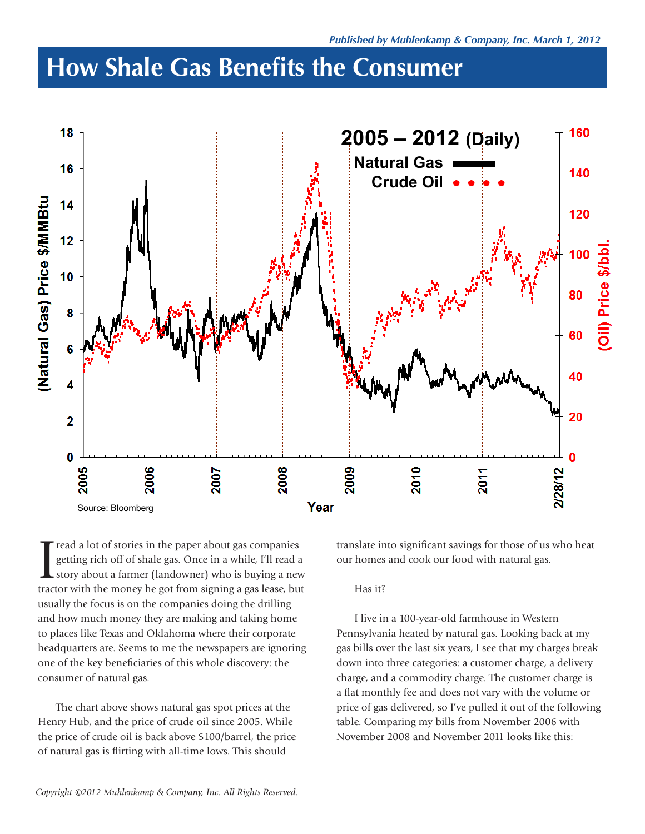## **How Shale Gas Benefits the Consumer**



I read a lot of stories in the paper about gas companies<br>getting rich off of shale gas. Once in a while, I'll read a<br>story about a farmer (landowner) who is buying a new getting rich off of shale gas. Once in a while, I'll read a story about a farmer (landowner) who is buying a new tractor with the money he got from signing a gas lease, but usually the focus is on the companies doing the drilling and how much money they are making and taking home to places like Texas and Oklahoma where their corporate headquarters are. Seems to me the newspapers are ignoring one of the key beneficiaries of this whole discovery: the consumer of natural gas.

The chart above shows natural gas spot prices at the Henry Hub, and the price of crude oil since 2005. While the price of crude oil is back above \$100/barrel, the price of natural gas is flirting with all-time lows. This should

translate into significant savings for those of us who heat our homes and cook our food with natural gas.

## Has it?

I live in a 100-year-old farmhouse in Western Pennsylvania heated by natural gas. Looking back at my gas bills over the last six years, I see that my charges break down into three categories: a customer charge, a delivery charge, and a commodity charge. The customer charge is a flat monthly fee and does not vary with the volume or price of gas delivered, so I've pulled it out of the following table. Comparing my bills from November 2006 with November 2008 and November 2011 looks like this: